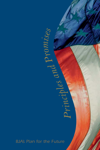*BJA's Plan for the Future*

*Principles*

*and Pro*

*m*

*ises*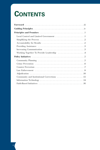# **CONTENTS**

| Working Together To Provide Leadership 4 |
|------------------------------------------|
|                                          |
|                                          |
|                                          |
|                                          |
|                                          |
|                                          |
|                                          |
|                                          |
|                                          |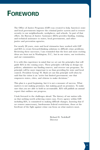# **FOREWORD**

The Office of Justice Programs (OJP) was created to help America's state and local governments improve the criminal justice system and to restore security to our neighborhoods, workplaces, and schools. As part of that effort, the Bureau of Justice Assistance (BJA) provides funding, training, and technical assistance to states, local governments, and other justice and prevention agencies.

For nearly 20 years, state and local visionaries have worked with OJP and BJA to create forward-thinking solutions to difficult crime problems. Reviewing these successes, I am reminded that the best and most exciting ideas are born not in Washington, D.C., but in our states, our territories, and our communities.

It is with this experience in mind that we set out the principles that will guide BJA in the coming years. These principles will help us design our policies, administer our funding sources, and oversee our programs. No principle will be more important to us than providing for state and local control. President George W. Bush set out this principle well when he said that his vision is an "active but limited government: one that empowers states, cities, and citizens to make decisions."

This plan is a good beginning, but it is not a measure of success. What matters is not making promises, but making good on promises. To make sure that you are able to hold us accountable, BJA will publish an annual report that outlines our progress.

I look forward to the challenges ahead. The history of our nation tells us that nothing worth achieving comes easy. Every agency within OJP, including BJA, is committed to making difficult changes, knowing that if we remove unnecessary, burdensome federal restrictions, those at the forefront of the fight against crime can focus on what matters most.

> Richard R. Nedelkoff Director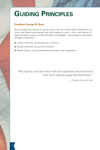# **GUIDING PRINCIPLES**

#### **President George W. Bush**

The President has clearly set out his vision that the United States should have an "active but limited government: one that empowers states, cities, and citizens to make decisions; ensures results through accountability; and promotes innovation through competition."

- ◆ Citizen centered, not bureaucracy centered.
- ◆ Results oriented, not process oriented.
- ◆ Market based, actively promoting innovation and competition.

"We ought to care less about rules and regulations and more about how we're helping people help themselves."

—President George W. Bush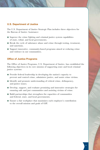#### **U.S. Department of Justice**

The U.S. Department of Justice Strategic Plan includes three objectives for the Bureau of Justice Assistance:

- $\blacklozenge$  Improve the crime fighting and criminal justice system capabilities of state, tribal, and local governments.
- ◆ Break the cycle of substance abuse and crime through testing, treatment, and sanctions.
- ◆ Support innovative, community-based programs aimed at reducing crime and violence in our communities.

#### **Office of Justice Programs**

The Office of Justice Programs, U.S. Department of Justice, has established the following objectives in its core mission of supporting state and local criminal justice systems:

- ◆ Provide federal leadership in developing the nation's capacity to prevent and control crime, administer justice, and assist crime victims.
- ◆ Identify and promote understanding of critical crime, delinquency, and justice issues.
- ◆ Develop, support, and evaluate promising and innovative strategies for ensuring safe and just communities and assisting victims of crime.
- ◆ Build partnerships that strengthen the capacities of communities and federal, state, and local governments.
- ◆ Ensure a fair workplace that maximizes each employee's contribution to the overall mission and goals of OJP.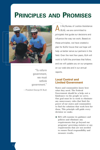# **PRINCIPLES AND PROMISES**



"To reform government, we must rethink government."

—President George W. Bush

t the Bureau of Justice Assistance (BJA), we are committed to principles that guide our decisions and influence the way we work. Based on these principles, we have created a plan for BJA's future that we hope will help us better serve our partners in the field. Over the next few years, BJA will work to fulfill the promises that follow, and we will update you on our progress on our web site and in our annual reports.

#### **Local Control and Limited Government**

States and communities know best what they need. The Federal Government should be a help—not a hindrance—to the people we serve. Our goal must be to work to eliminate any unnecessary rules that limit the power of our states and communities to find the solutions that work best for them. This principle will guide every decision we make.

◆ BJA will examine its guidance and policies and eliminate any requirements that go beyond our programs' governing statutes or any requirements that are not needed to ensure fiscal responsibility and measure results.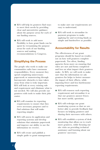- ◆ BJA will help its grantees find ways to meet their needs by providing clear and unrestrictive guidance about the purpose areas for each of our funding sources.
- ◆ BJA will work to add more flexibility to how grant funds can be spent by reexamining the purpose areas for each of our funding sources and making recommendations to Congress.

### **Simplifying the Process**

The people who work to make our communities safer have enormous responsibilities. Every moment they spend completing unnecessary paperwork or maneuvering through bureaucratic obstacles is time taken away from what is truly important. BJA will look at every existing rule and requirement and eliminate what is not needed. We will also provide our grantees with tools to make their jobs easier.

- ◆ BJA will examine its reporting requirements to ensure that they serve necessary purposes and to find solutions that will make reporting simpler.
- ◆ BJA will assess its application and reporting systems and develop solutions that minimize paperwork and improve our ability to use the information we receive.
- ◆ BJA will create and publish a simple guide to grant management

to make sure our requirements are easy to understand.

◆ BJA will work to streamline its payment programs to make applying for and receiving funds as simple and burden-free as possible.

#### **Accountability for Results**

The effectiveness of our grant programs should be based on results not on how well grantees complete paperwork. Too often, funding agencies focus more on ensuring that rules are met and forms completed and less on what impact their grantees make. At BJA, we will work to make sure that the information we ask grantees for helps to better measure the impact of their efforts, while imposing fewer and less burdensome reporting requirements.

- ◆ BJA will reassess each reporting requirement and streamline it so that our grantees answer fewer, but more useful, questions.
- ◆ BJA will redesign our grant monitoring system so that we are better able to provide feedback that focuses on helping grantees and sharing their successes with others.
- ◆ BJA will establish a system of desk monitoring that allows us to reach more grantees, while focusing our site visits on providing technical assistance and learning about our grantees' successes.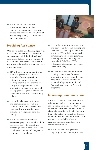◆ BJA will work to establish information sharing or joint monitoring agreements with other offices and bureaus in the Office of Justice Programs (OJP) that share the same grantees.

# **Providing Assistance**

One of our roles as a funding agency is to provide support and assistance to our grantees. With limited technical assistance dollars, we are committed to planning strategically to ensure that we provide the assistance our partners want and need.

- ◆ BJA will develop an annual training plan that presents a tentative schedule of training sessions nationwide and describes the training tools we will provide to our grant recipients and state administrative agencies. Our goal is to help grantees plan for their own needs and maximize their training dollars.
- ◆ BJA will collaborate with states and communities to establish training and technical assistance partnerships in ways that save everyone development time and money.
- ◆ BJA will develop a technical assistance program that allows BJA to be responsive to urgent and emerging needs of local, state, and tribal governments and the justice community as a whole.



- ◆ BJA will provide the most current and easy-to-understand training and technical assistance possible to our grantees. We will develop a variety of training tools for our grantees, including distance learning, PC tutorials, CD–ROMs, DVDs, videotapes, streaming video, and teleconferencing.
- ◆ BJA will host regional and national training conferences for state administering agencies and grant recipients. Specific training will include both programmatic and financial aspects of OJP's grant programs.

# **Increasing Communication**

All of the plans that we have for BJA rely on our ability to communicate information. To make sure that we can inform our grantees and constituents about changes that will help them do their jobs better, we must be diligent in communicating well and often. And we must be available when our grantees and constituents seek to communicate with us.

◆ BJA will e-mail our grantees regularly to keep them up to date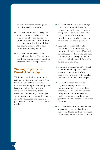on new initiatives, meetings, and technical assistance tools.

- ◆ BJA will continue to redesign its web site to ensure that it is user friendly to all of our audiences, provides up-to-date information on activities and priorities, and links our constituents to other sources of information they need.
- $\blacklozenge$  BJA will communicate often through e-mails, the BJA web site, and BJA's annual report—about our progress toward our promises.

### **Working Together To Provide Leadership**

We know that the best solutions to criminal justice problems come from the field. Our role is to provide national leadership in criminal justice issues by looking for innovative solutions and promoting them throughout the country. In doing so, we help states and communities learn about the successes and promising practices that others have worked to produce.

- ◆ BJA will host a series of meetings with our state administrative agencies and with other grantees and partners to discuss the issues that are important to them, including ways in which BJA can be a more responsive partner.
- ◆ BJA will establish policy offices that work to find and encourage innovative ideas. These offices will be resources for the field, and they will maintain a library of state-ofthe-art criminal justice information on the BJA web site.
- ◆ If funding is available, BJA will set aside funds for important focus areas and use those funds to encourage our grantees to develop innovative demonstration projects.
- ◆ BJA will sponsor national and regional meetings to discuss important policy issues. At these meetings, we will explore ways to bring new ideas to the criminal justice community and help our grantees find the resources to carry them out.
- ◆ BJA will develop topic-specific fact sheets and other publications on important topics, and we will make them available on the BJA web site.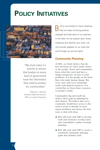# **POLICY INITIATIVES**



"We must make it a priority to ensure that leaders at every level of government have the information they need to protect our communities."

—Deborah J. Daniels, Assistant Attorney General, Office of Justice Programs

JA is committed to many initiatives that we hope will bring positive changes and help each of our partners in the field. As we expand upon these initiatives and identify new ones, we will provide updates on our web site and through our annual report.

# **Community Planning**

At BJA, we firmly believe that the best decisions are those made closest to the people. States and communities know what they need and have a unique perspective on how to solve problems. It is the people on the front lines who make lasting change. But every state and every community works with limited resources. It is crucial that we focus those resources to produce results.

Communities big and small can achieve their goals by planning for their futures. We believe that every community should have access to the tools it needs to identify its most urgent problems and choose the best ways to deal with them.

- ◆ BJA will work with OJP to develop tools and assistance to help states and communities conduct strategic planning.
- ◆ BJA will work with OJP to create a web-based community planning guide that includes tools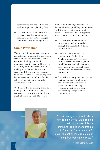communities can use to find and analyze important planning data.

◆ BJA will identify and share the lessons learned by communities that have made positive changes from their local planning efforts.

#### **Crime Prevention**

The actions of community members are extremely important to preventing crime, and law enforcement agencies can offer the help community members need to make a difference. Preventing crime involves not only making sure that our houses are secure and that we take precautions to be safe, it also means working with law enforcement to look out for the safety of our neighbors and other community members.

We believe that decreasing crime and making our communities safer requires a return to the value that we must all take responsibility for our

families and our neighborhoods. BJA is committed to providing communities with the tools, information, and resources they need to join together, learn what to do, and take action.

- ◆ BJA will promote community involvement and volunteerism through the President's Citizen Corps initiative.
- ◆ Under Project ChildSafe, a component of Project Safe Neighborhoods, BJA will work to meet President Bush's goal of providing free gunlocks and gun safety information through state and local law enforcement agencies nationwide.
- ◆ BJA will seek out public and private partners to plan, develop, and disseminate public awareness strategies that focus people's attention on crime prevention and creating change in their communities.



". . . A teenager is more likely to die from a gunshot than from all natural causes of death combined. This is unacceptable in America. For our children's sake, this nation must reclaim our neighborhoods and streets."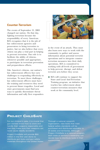### **Counter-Terrorism**

The events of September 11, 2001 changed our nation. On that day, fighting terrorism became the responsibility of every American. BJA recognizes that it is the job of law enforcement agencies and prosecutors to bring terrorists to justice, but we also believe that every citizen can play a vital part in helping to prevent terrorism. Our role is to facilitate the ability of citizens, whenever possible and appropriate, to participate in terrorism prevention and preparedness efforts.

Like America's citizens, our nation's law enforcement officers face new challenges to responding effectively to terrorism. To meet these challenges, law enforcement officers must have the training and resources they need to prevent future tragedies. Local and state governments must find new ways to quickly disseminate threat information and rally first responders



in the event of an attack. They must also learn new ways to work with the community to gather and assess information about potential terrorist operations and to integrate counterterrorism measures into their daily operations. BJA is committed to working with all levels of government to help prevent, disrupt, and defeat terrorist acts before they occur.

◆ BJA will continue to support the State and Local Anti-Terrorism Training program, an initiative that teaches law enforcement about counter-terrorism measures that work at the community level.

# **PROJECT CHILDSAFE**

For our children's sake, it is crucial that gun owners know how to store and handle their weapons responsibly and that they make sure their weapons can never cause deadly accidents.

Project ChildSafe will provide \$50 million in the first year alone to distribute gun locks and gun safety materials throughout the United States.

Through a national nonprofit organization, new locks that meet federal safety standards will be purchased and distributed equitably to all states and territories. Although Project ChildSafe is a national program, each state or territory's leadership will decide how to distribute locks in their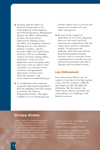- ◆ Working with the Office for Domestic Preparedness, the Federal Bureau of Investigation, the Federal Emergency Management Agency, the Office of Homeland Security, the Federal Law Enforcement Training Center, the Office of Community Oriented Policing Services, the National Institute of Justice, and the Executive Office for United States Attorneys, BJA is coordinating counter-terrorism training efforts nationwide so that we avoid duplication, meet emerging needs, and ensure that our nation's first responders to terrorism receive consistent and appropriate information. To learn more about this initiative, visit www.counterterrorismtraining.gov.
- ◆ In coordination with a national nonprofit educational organization, BJA has published and will continue to promote the *Citizen's Preparedness Guide.* This guide, available at www.citizencorps.gov,

teaches citizens how to prevent and prepare for terrorist acts and other emergencies.

◆ Because of the tragedy of September 11, it is more important than ever that state and local governments communicate with law enforcement and first responders quickly. To help meet this challenge, BJA will work with the Regional Information Sharing Systems centers to provide secure communications networks for state and local governments and offices charged with homeland security.

#### **Law Enforcement**

Law enforcement officers are our country's front line in the fight against crime, and they perform a difficult and dangerous job with skill and dedication. But the nation's law enforcement officers constantly face extraordinary new challenges with limited resources.

# **CITIZEN CORPS**

Citizen Corps is a broad network of volunteer initiatives that organizes the efforts of Americans who want to prepare their neighborhoods and communities to prevent and respond to terrorism, crime, or any kind of disaster. Citizen Corps is a component of the President's Freedom Corps

initiative. For more information, visit www.citizencorps.gov.

Citizen Corps initiatives include—

• The *Citizens' Preparedness Guide,* which describes crime and disaster preparedness techniques and provides the latest information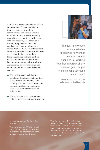At BJA, we respect the choice of law enforcement officers to dedicate themselves to serving their communities. We believe that we must honor their service by doing everything possible to provide them with the support, resources, and training they need to meet the needs of their communities. It is critical that we help law enforcement officers spend their time as effectively as possible by increasing their technological capabilities, and we must redouble our efforts to help law enforcement agencies work with communities to prevent crime and build support for their enforcement activities.

- ◆ BJA will sponsor training for BJA-funded multijurisdictional task forces across the country. This training will teach task forces how to augment their current duties with terrorism prevention and enforcement.
- ◆ BJA will work with national law enforcement associations to provide



"The goal is to weave an impenetrable nationwide network of law enforcement agencies, all working together in pursuit of one common goal—to put criminals who use guns behind bars."

—Attorney General John Ashcroft on Project Safe Neighborhoods

on being prepared for terrorist attacks.

- The Neighborhood Watch initiative, which is working to double the number of neighborhood watch groups in the United States.
- The Volunteers in Police Service program, which recruits and trains volunteers to aid law enforcement agencies in both furthering crime prevention and freeing officers to spend more time on prevention and enforcement.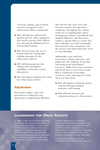research, training, and technical assistance programs to law enforcement officers nationwide.

- ◆ BJA will help law enforcement agencies get the safety equipment they need to protect their officers' lives through the Bulletproof Vest Partnership Program.
- ◆ BJA will encourage the use of federal funds for cutting-edge training programs for law enforcement officers.
- ◆ BJA will fund programs that enhance the investigative capabilities of forensic science laboratories.
- ◆ BJA will support initiatives for rural law enforcement entities.

# **Adjudication**

Prosecutors, judges, and court personnel are looking for new approaches to adjudicating offenders that will not only clear cases and decrease dockets, but also lower recidivism. Throughout the country, courts are recognizing that crimes involving gun violence, mentally ill and disabled offenders, and drug users require a special effort to ensure that these offenders are held accountable, but returned to the community with the services and supervision they need to stop offending.

Additionally, state and local prosecutors, defense attorneys, and judges face the challenge of meeting increasing needs with limited resources. While local court personnel will decide how to meet those needs, BJA is committed to providing resources, tools, and support to help them test their ideas.

- ◆ BJA will support community justice concepts through technical assistance and training.
- ◆ BJA will fund research and technical assistance to find creative

# **LEADERSHIP FOR DRUG COURTS**

In 1989, a few communities that were troubled by the devastating impact of drugs and drug-related crime on their criminal justice systems took a new approach to adjudicating low-level drug offenders. This new approach integrated substance abuse treatment, sanctions, and incentives with case processing to place nonviolent druginvolved defendants in judicially supervised habilitation programs. The traditional system had rarely provided substance abuse treatment to defendants in any systematic way and, in many cases, provided little or no threat of sanctions to drug offenders.

In enacting the 1994 Crime Act, Congress joined local communities in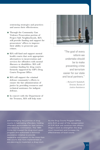sentencing strategies and practices and assess their effectiveness.

- ◆ Through the Community Gun Violence Prosecution portion of Project Safe Neighborhoods, BJA will provide funding and support for prosecutors' offices to improve their ability to prosecute gun crimes.
- ◆ BJA will fund and support mental health courts that seek appropriate alternatives to incarceration and services for offenders with mental illnesses or disabilities. BJA will continue funding for drug courts formerly supported by OJP's Drug Courts Program Office.
- ◆ BJA will support the criminal defense community's efforts to ensure the fair administration of justice by providing resources and technical assistance for indigent defense.
- ◆ In concert with the Department of the Treasury, BJA will help state



"The goal of every reform we undertake should be to make preventing crime and terrorism easier for our state and local partners."

> —Richard R. Nedelkoff, Director, Bureau of Justice Assistance

acknowledging the promise of drug courts in habilitating offenders, holding offenders accountable for their actions, and reducing victimization. The 1994 Crime Act created the drug court grant program and authorized a technical assistance initiative to provide leadership and support to the more than 500 courts that have implemented or are planning to implement a drug court.

As the Drug Courts Program Office joins BJA as part of the reorganization of OJP, BJA will continue that office's diligent work to strengthen the drug court movement and increase the effectiveness of local courts.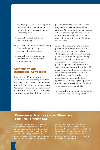and local prosecutors develop and institutionalize capabilities to investigate and prosecute money laundering offenses.

- ◆ BJA will support high-quality judicial training.
- ◆ BJA will support the highest quality DNA training and technical assistance for prosecutors.
- ◆ BJA will provide training and technical assistance to court administrators.

### **Community and Institutional Corrections**

Supervising offenders in the community and preparing offenders for their return to their communities are critical to protecting public safety. Community supervision officers must balance the time required to manage growing caseloads and their desire to

provide offenders with the services they need to become law-abiding citizens. At the same time, supervision officers increasingly are concerned with their own safety as they find themselves more in the field and less in the office.

Around the country, state and local probation and parole officials are testing new ways to meet these challenges. One of the most exciting ideas is that of building partnerships between law enforcement and community corrections. These partnerships not only increase the safety of supervision officers, but offer more services and better results than correctional institutions, and at a much lower cost. In another increasingly popular and effective approach, reentry programs provide a broad range of services for offenders while ensuring accountability.

◆ BJA will promote police-community corrections partnerships that

# **PREPARING INMATES FOR REENTRY: THE PIE PROGRAM**

The Prison Industries Enhancement Certification Program (PIECP) encourages states and units of local government to establish employment opportunities for prisoners. The program places inmates in realistic work environments, pays them prevailing

wages, and gives them a chance to develop marketable skills that will increase their potential for rehabilitation and meaningful employment upon release. BJA certifies that each PIE program meets statutory and federal guideline requirements.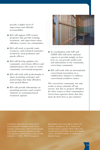provide a higher level of supervision and offender accountability.

- ◆ BJA will support OJP reentry programs that provide training, treatment, and supervision when offenders reenter our communities.
- ◆ BJA will work to provide tools, resources, and technical assistance needed by rural probation and parole officers.
- ◆ BJA will develop guidance for community corrections officers and administrators who want to create community correctional programs.
- ◆ BJA will work with professionals to share promising strategies and partnerships that help offenders with mental illness.
- ◆ BJA will provide information on promising practices and creative solutions in community-based treatment options.



- ◆ In coordination with OJP and OJJDP, BJA will invite national experts to provide insight on how best we can provide useful tools and information to the community corrections community.
- ◆ BJA will work with an international correctional association on a collaborative initiative to address correctional workforce issues.

The corrections community not only works to keep criminals off our streets, but also to prepare offenders for their return to their communities. Corrections agencies know that they must do their best to give inmates

Currently, there are 34 state and 4 county-based certified correctional industry programs in the United States, and these programs operate at least 175 business partnerships with private industry. In 2001, PIECP programs

generated more than \$2.5 million for victims' programs, \$1.7 million for inmate family support, \$10 million for correctional institution room and board costs, and \$4.5 million in state and federal taxes.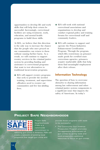opportunities to develop life and work skills that will help their return be successful. Increasingly, correctional facilities are using treatment, work, education, and mental health programs to build these skills.

At BJA, we believe that this direction is the only way to increase the chance that the people who once preyed on our communities can return to them without causing further harm. As a result, we will continue to support reentry services in the criminal justice system by providing funding and assistance to correctional programs that want to test alternatives to traditional incarceration programs.

◆ BJA will support reentry programs that seek to provide the needed training, treatment, and supervision offenders need to reenter our communities and live law-abiding lives.

- ◆ BJA will work with national correctional associations and organizations to develop and conduct regional policy and training forums for correctional staff and community leaders.
- ◆ BJA will continue to support and operate the Prison Industries Enhancement Certification Program. Through the program, which lifts restrictions on prisonermade goods for certified state corrections agencies, prisoners acquire marketable skills that help them find meaningful employment after their release.

# **Information Technology**

The question of how to overcome obstacles to sharing information among law enforcement and other criminal justice system components is a significant issue that impacts the safety of Americans. In today's

# **PROJECT SAFE NEIGHBORHOODS**



Project Safe **Neighborhoods** (PSN) is a nationwide commitment to

reducing gun crime in America. PSN will create a network of existing local programs that target gun crime and

provide those programs with tools to be successful.

• The Community Gun Violence Prosecution Program promotes the aggressive enforcement of gun crimes by giving state and local prosecutors additional resources to focus on gun crimes.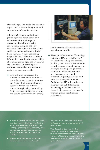electronic age, the public has grown to expect justice system integration and appropriate information sharing.

All law enforcement and criminal justice agencies—local, state, and federal—need to find ways to overcome obstacles to sharing information. Doing so not only increases their ability to solve crimes and keep communities safer, it also helps them meet their increasing responsibilities. While the sharing of information must be the responsibility of criminal justice agencies, at BJA we are committed to providing the resources and assistance needed to make it as easy as possible.

◆ BJA will work to increase the number of local, state, and federal law enforcement agencies that use the Regional Information Sharing Systems. Wider use of these innovative regional systems will go far to increase intelligence sharing and secure communications among



the thousands of law enforcement agencies nationwide.

◆ Through its Information Technology Initiative, BJA, on behalf of OJP, will continue to help the criminal justice system share information by providing research and guidance on strategic planning and governance; standards, infrastructure, and architecture; privacy and information quality; security; and resource management issues. Additionally, BJA will continue to maintain the OJP Information Technology Initiatives web site (www.it.ojp.gov) as a resource for criminal justice practitioners nationwide.

- Project Safe Neighborhoods Research and Community Engagement Partner grants are designed to support the strategic planning, accountability, and community outreach components of U.S. Attorney-led gun violence task forces.
- Project Sentry provides resources for state and local juvenile justice

prosecutors to increase their ability to focus on gun crimes committed by juveniles.

• The Reducing Community Gun Violence Open Solicitation seeks to fund demonstration projects that consist of locally crafted, innovative responses to local need to reduce gun violence.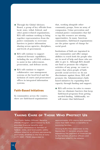- ◆ Through the Global Advisory Board, a group of key officials from local, state, tribal, federal, and other justice-related organizations, BJA will continue working to bring together representatives from the justice community to overcome barriers to justice information sharing across agencies, disciplines, and levels of government.
- ◆ BJA will continue to support enhanced forensic capabilities, including the use of DNA evidence, to assist in law enforcement, prosecution, and defense needs.
- ◆ BJA will continue to support collaborative case management systems at the local level and the inclusion of courts and prosecutors' offices in integrated information systems.

# **Faith-Based Initiatives**

In communities across the country, there are faith-based organizations

that, working alongside other community groups, form an army of compassion. Crime prevention and criminal justice communities that fail to tap this resource are missing opportunities. In many American communities, faith-based organizations are the prime agents of change for social good.

Institutions of faith are ingrained in our communities and offer unique abilities to reach both the people who are in need of help and those who are able to give it. Although BJA should not fund or promote the religious activities of any group, we want to ensure that when people of faith provide social services we do not discriminate against them. BJA will promote the Administration's faithbased initiatives by expanding their capacity through funding and support.

◆ BJA will review its rules to ensure that we eliminate barriers that keep faith-based programs from getting needed funding. Additionally, we will ensure that faith-based

# **TAKING CARE OF THOSE WHO PROTECT US**

The Public Safety Officers' Benefits (PSOB) Program, administered by BJA, provides financial benefits and education assistance to families of federal, state, and local public safety officers killed or to officers permanently and totally disabled in the line of duty. In FY 2001, PSOB responded to

approximately 370 claims and awarded more than \$26 million in benefits to surviving families.

Among BJA's first responses to the September 11 terrorist attacks was expediting the payment of financial aid to the families of police officers and firefighters killed in the attacks.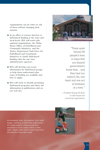organizations can do what we ask of them without changing their mission.

- ◆ In an effort to remove barriers to faith-based funding at the state and local levels, BJA will work with national organizations, the White House Office of Faith-Based and Community Initiatives, and the Justice Department Task Force for Faith-Based and Community Initiatives to clarify faith-based funding rules for our state administrative agencies.
- ◆ BJA will develop easy-to-use information for faith-based groups to help them understand what types of funding are available and how to apply.
- ◆ BJA will work to identify promising faith-based programs and share the information in publications and on our web site.



"These quiet heroes lift people's lives in ways that are beyond government's know-how…and they heal our nation's ills, one heart and one act of kindness at a time."

—President George W. Bush on faith-based and community organizations

Immediately after the attacks, BJA staff began working to eliminate paperwork for these claims, making payment possible in most cases within a few days. Nearly 400 claims stemming from the attacks have been paid.